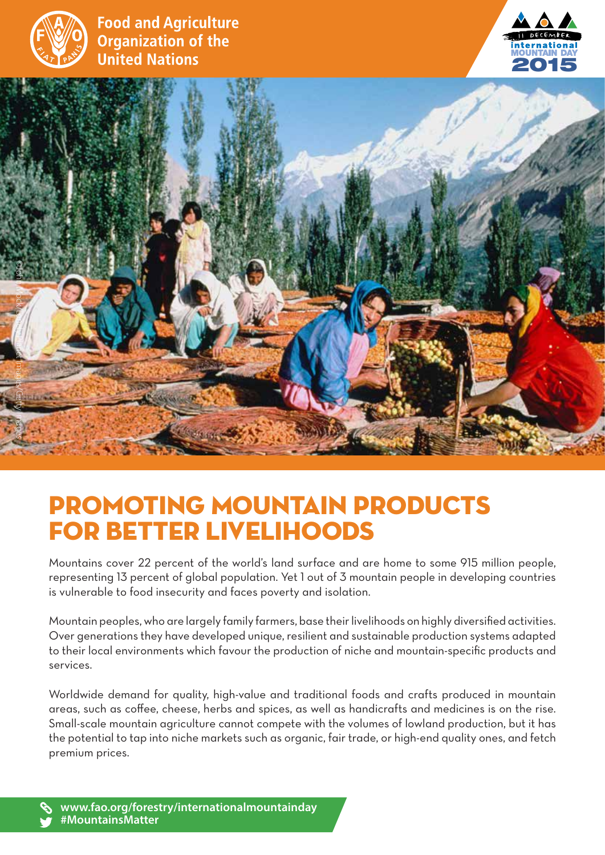

**Food and Agriculture Organization of the United Nations** 





## Promoting Mountain Products for better livelihoods

Mountains cover 22 percent of the world's land surface and are home to some 915 million people, representing 13 percent of global population. Yet 1 out of 3 mountain people in developing countries is vulnerable to food insecurity and faces poverty and isolation.

Mountain peoples, who are largely family farmers, base their livelihoods on highly diversified activities. Over generations they have developed unique, resilient and sustainable production systems adapted to their local environments which favour the production of niche and mountain-specific products and services.

Worldwide demand for quality, high-value and traditional foods and crafts produced in mountain areas, such as coffee, cheese, herbs and spices, as well as handicrafts and medicines is on the rise. Small-scale mountain agriculture cannot compete with the volumes of lowland production, but it has the potential to tap into niche markets such as organic, fair trade, or high-end quality ones, and fetch premium prices.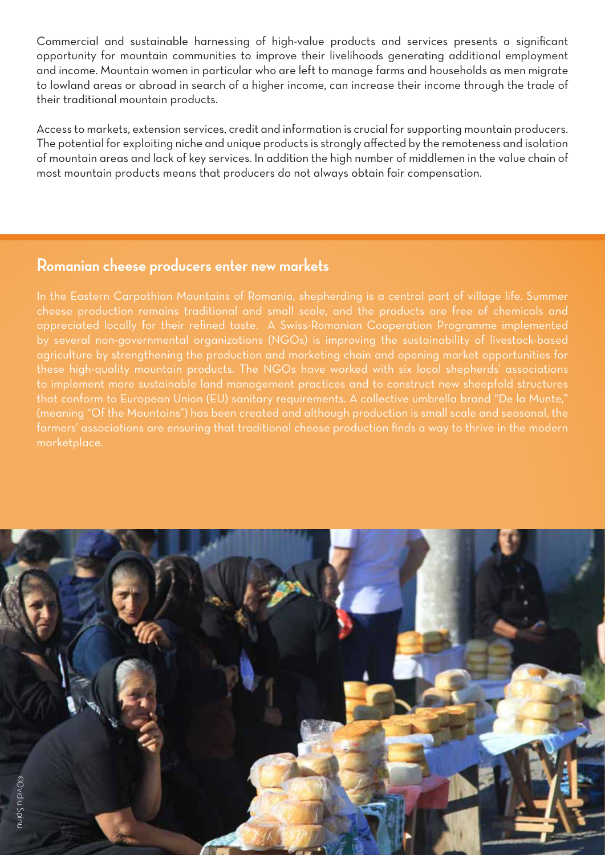Commercial and sustainable harnessing of high-value products and services presents a significant opportunity for mountain communities to improve their livelihoods generating additional employment and income. Mountain women in particular who are left to manage farms and households as men migrate to lowland areas or abroad in search of a higher income, can increase their income through the trade of their traditional mountain products.

Access to markets, extension services, credit and information is crucial for supporting mountain producers. The potential for exploiting niche and unique products is strongly affected by the remoteness and isolation of mountain areas and lack of key services. In addition the high number of middlemen in the value chain of most mountain products means that producers do not always obtain fair compensation.

## **Romanian cheese producers enter new markets**

In the Eastern Carpathian Mountains of Romania, shepherding is a central part of village life. Summer cheese production remains traditional and small scale, and the products are free of chemicals and appreciated locally for their refined taste. A Swiss-Romanian Cooperation Programme implemented by several non-governmental organizations (NGOs) is improving the sustainability of livestock-based agriculture by strengthening the production and marketing chain and opening market opportunities for these high-quality mountain products. The NGOs have worked with six local shepherds' associations to implement more sustainable land management practices and to construct new sheepfold structures that conform to European Union (EU) sanitary requirements. A collective umbrella brand "De la Munte," (meaning "Of the Mountains") has been created and although production is small scale and seasonal, the farmers' associations are ensuring that traditional cheese production finds a way to thrive in the modern marketplace.

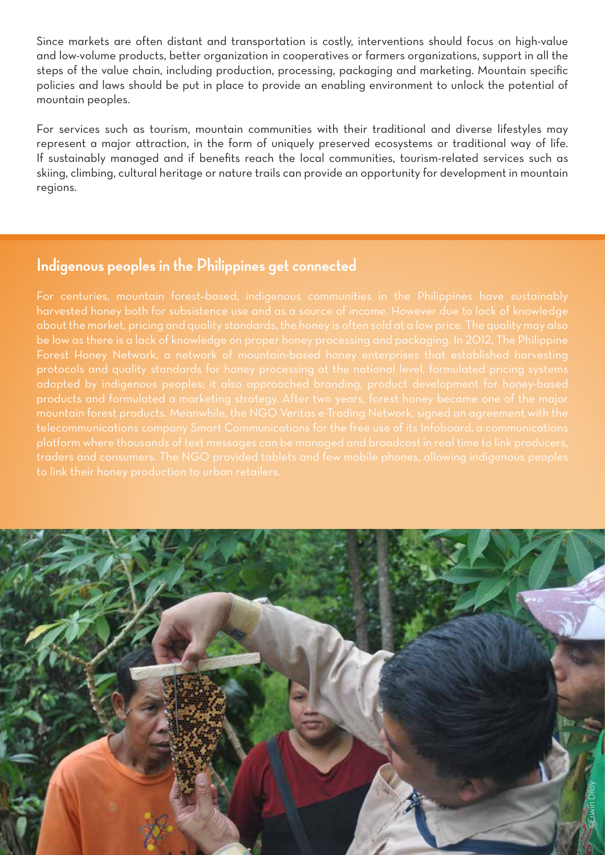Since markets are often distant and transportation is costly, interventions should focus on high-value and low-volume products, better organization in cooperatives or farmers organizations, support in all the steps of the value chain, including production, processing, packaging and marketing. Mountain specific policies and laws should be put in place to provide an enabling environment to unlock the potential of mountain peoples.

For services such as tourism, mountain communities with their traditional and diverse lifestyles may represent a major attraction, in the form of uniquely preserved ecosystems or traditional way of life. If sustainably managed and if benefits reach the local communities, tourism-related services such as skiing, climbing, cultural heritage or nature trails can provide an opportunity for development in mountain regions.

## **Indigenous peoples in the Philippines get connected**

For centuries, mountain forest–based, indigenous communities in the Philippines have sustainably harvested honey both for subsistence use and as a source of income. However due to lack of knowledge about the market, pricing and quality standards, the honey is often sold at a low price. The quality may also be low as there is a lack of knowledge on proper honey processing and packaging. In 2012, The Philippine Forest Honey Network, a network of mountain-based honey enterprises that established harvesting protocols and quality standards for honey processing at the national level, formulated pricing systems adopted by indigenous peoples; it also approached branding, product development for honey-based products and formulated a marketing strategy. After two years, forest honey became one of the major mountain forest products. Meanwhile, the NGO Veritas e-Trading Network, signed an agreement with the telecommunications company Smart Communications for the free use of its Infoboard, a communications platform where thousands of text messages can be managed and broadcast in real time to link producers, traders and consumers. The NGO provided tablets and few mobile phones, allowing indigenous peoples